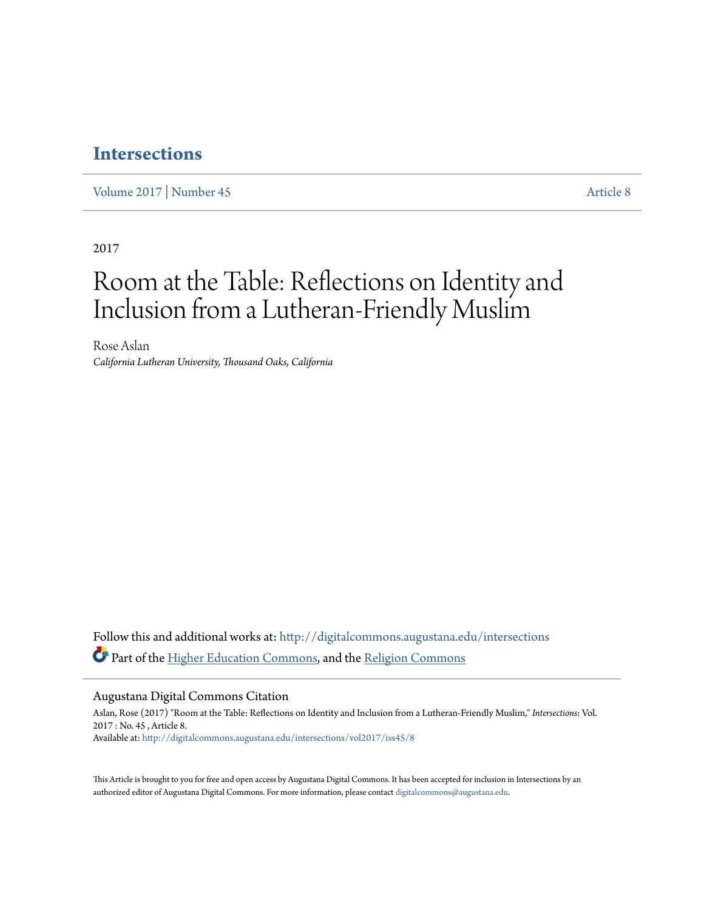## **[Intersections](http://digitalcommons.augustana.edu/intersections?utm_source=digitalcommons.augustana.edu%2Fintersections%2Fvol2017%2Fiss45%2F8&utm_medium=PDF&utm_campaign=PDFCoverPages)**

[Volume 2017](http://digitalcommons.augustana.edu/intersections/vol2017?utm_source=digitalcommons.augustana.edu%2Fintersections%2Fvol2017%2Fiss45%2F8&utm_medium=PDF&utm_campaign=PDFCoverPages) | [Number 45](http://digitalcommons.augustana.edu/intersections/vol2017/iss45?utm_source=digitalcommons.augustana.edu%2Fintersections%2Fvol2017%2Fiss45%2F8&utm_medium=PDF&utm_campaign=PDFCoverPages) [Article 8](http://digitalcommons.augustana.edu/intersections/vol2017/iss45/8?utm_source=digitalcommons.augustana.edu%2Fintersections%2Fvol2017%2Fiss45%2F8&utm_medium=PDF&utm_campaign=PDFCoverPages)

2017

## Room at the Table: Reflections on Identity and Inclusion from a Lutheran-Friendly Muslim

Rose Aslan *California Lutheran University, Thousand Oaks, California*

Follow this and additional works at: [http://digitalcommons.augustana.edu/intersections](http://digitalcommons.augustana.edu/intersections?utm_source=digitalcommons.augustana.edu%2Fintersections%2Fvol2017%2Fiss45%2F8&utm_medium=PDF&utm_campaign=PDFCoverPages) Part of the [Higher Education Commons](http://network.bepress.com/hgg/discipline/1245?utm_source=digitalcommons.augustana.edu%2Fintersections%2Fvol2017%2Fiss45%2F8&utm_medium=PDF&utm_campaign=PDFCoverPages), and the [Religion Commons](http://network.bepress.com/hgg/discipline/538?utm_source=digitalcommons.augustana.edu%2Fintersections%2Fvol2017%2Fiss45%2F8&utm_medium=PDF&utm_campaign=PDFCoverPages)

Augustana Digital Commons Citation

Aslan, Rose (2017) "Room at the Table: Reflections on Identity and Inclusion from a Lutheran-Friendly Muslim," *Intersections*: Vol. 2017 : No. 45 , Article 8. Available at: [http://digitalcommons.augustana.edu/intersections/vol2017/iss45/8](http://digitalcommons.augustana.edu/intersections/vol2017/iss45/8?utm_source=digitalcommons.augustana.edu%2Fintersections%2Fvol2017%2Fiss45%2F8&utm_medium=PDF&utm_campaign=PDFCoverPages)

This Article is brought to you for free and open access by Augustana Digital Commons. It has been accepted for inclusion in Intersections by an authorized editor of Augustana Digital Commons. For more information, please contact [digitalcommons@augustana.edu.](mailto:digitalcommons@augustana.edu)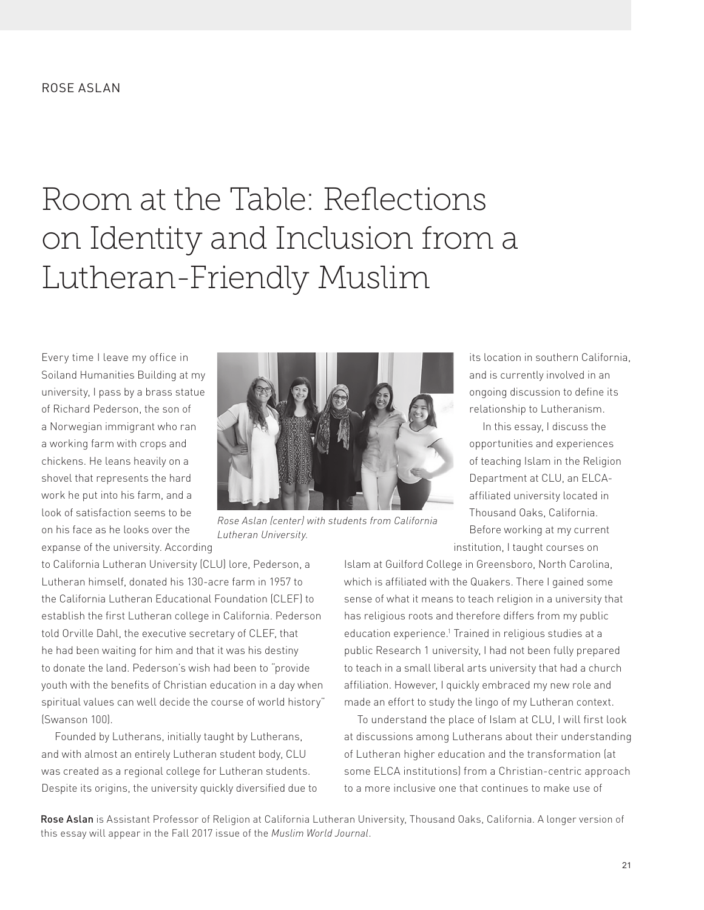# Room at the Table: Reflections on Identity and Inclusion from a Lutheran-Friendly Muslim

Every time I leave my office in Soiland Humanities Building at my university, I pass by a brass statue of Richard Pederson, the son of a Norwegian immigrant who ran a working farm with crops and chickens. He leans heavily on a shovel that represents the hard work he put into his farm, and a look of satisfaction seems to be on his face as he looks over the expanse of the university. According



*Rose Aslan (center) with students from California Lutheran University.*

to California Lutheran University (CLU) lore, Pederson, a Lutheran himself, donated his 130-acre farm in 1957 to the California Lutheran Educational Foundation (CLEF) to establish the first Lutheran college in California. Pederson told Orville Dahl, the executive secretary of CLEF, that he had been waiting for him and that it was his destiny to donate the land. Pederson's wish had been to "provide youth with the benefits of Christian education in a day when spiritual values can well decide the course of world history" (Swanson 100).

Founded by Lutherans, initially taught by Lutherans, and with almost an entirely Lutheran student body, CLU was created as a regional college for Lutheran students. Despite its origins, the university quickly diversified due to and is currently involved in an ongoing discussion to define its relationship to Lutheranism. In this essay, I discuss the

its location in southern California,

opportunities and experiences of teaching Islam in the Religion Department at CLU, an ELCAaffiliated university located in Thousand Oaks, California. Before working at my current institution, I taught courses on

Islam at Guilford College in Greensboro, North Carolina, which is affiliated with the Quakers. There I gained some sense of what it means to teach religion in a university that has religious roots and therefore differs from my public education experience.<sup>1</sup> Trained in religious studies at a public Research 1 university, I had not been fully prepared to teach in a small liberal arts university that had a church affiliation. However, I quickly embraced my new role and made an effort to study the lingo of my Lutheran context.

To understand the place of Islam at CLU, I will first look at discussions among Lutherans about their understanding of Lutheran higher education and the transformation (at some ELCA institutions) from a Christian-centric approach to a more inclusive one that continues to make use of

Rose Aslan is Assistant Professor of Religion at California Lutheran University, Thousand Oaks, California. A longer version of this essay will appear in the Fall 2017 issue of the *Muslim World Journal*.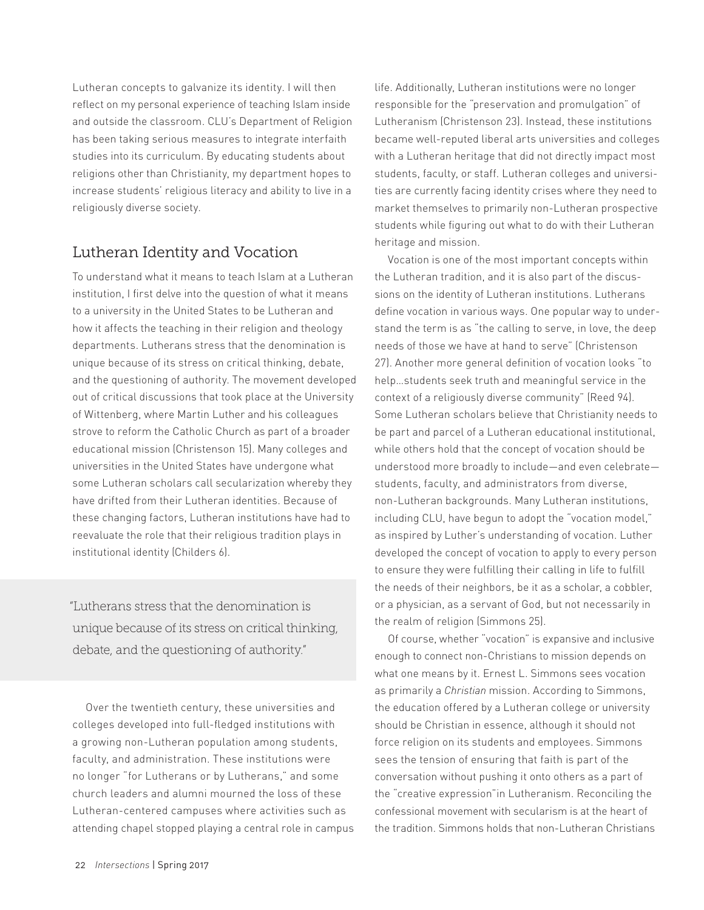Lutheran concepts to galvanize its identity. I will then reflect on my personal experience of teaching Islam inside and outside the classroom. CLU's Department of Religion has been taking serious measures to integrate interfaith studies into its curriculum. By educating students about religions other than Christianity, my department hopes to increase students' religious literacy and ability to live in a religiously diverse society.

## Lutheran Identity and Vocation

To understand what it means to teach Islam at a Lutheran institution, I first delve into the question of what it means to a university in the United States to be Lutheran and how it affects the teaching in their religion and theology departments. Lutherans stress that the denomination is unique because of its stress on critical thinking, debate, and the questioning of authority. The movement developed out of critical discussions that took place at the University of Wittenberg, where Martin Luther and his colleagues strove to reform the Catholic Church as part of a broader educational mission (Christenson 15). Many colleges and universities in the United States have undergone what some Lutheran scholars call secularization whereby they have drifted from their Lutheran identities. Because of these changing factors, Lutheran institutions have had to reevaluate the role that their religious tradition plays in institutional identity (Childers 6).

"Lutherans stress that the denomination is unique because of its stress on critical thinking, debate, and the questioning of authority."

Over the twentieth century, these universities and colleges developed into full-fledged institutions with a growing non-Lutheran population among students, faculty, and administration. These institutions were no longer "for Lutherans or by Lutherans," and some church leaders and alumni mourned the loss of these Lutheran-centered campuses where activities such as attending chapel stopped playing a central role in campus

life. Additionally, Lutheran institutions were no longer responsible for the "preservation and promulgation" of Lutheranism (Christenson 23). Instead, these institutions became well-reputed liberal arts universities and colleges with a Lutheran heritage that did not directly impact most students, faculty, or staff. Lutheran colleges and universities are currently facing identity crises where they need to market themselves to primarily non-Lutheran prospective students while figuring out what to do with their Lutheran heritage and mission.

Vocation is one of the most important concepts within the Lutheran tradition, and it is also part of the discussions on the identity of Lutheran institutions. Lutherans define vocation in various ways. One popular way to understand the term is as "the calling to serve, in love, the deep needs of those we have at hand to serve" (Christenson 27). Another more general definition of vocation looks "to help…students seek truth and meaningful service in the context of a religiously diverse community" (Reed 94). Some Lutheran scholars believe that Christianity needs to be part and parcel of a Lutheran educational institutional, while others hold that the concept of vocation should be understood more broadly to include—and even celebrate students, faculty, and administrators from diverse, non-Lutheran backgrounds. Many Lutheran institutions, including CLU, have begun to adopt the "vocation model," as inspired by Luther's understanding of vocation. Luther developed the concept of vocation to apply to every person to ensure they were fulfilling their calling in life to fulfill the needs of their neighbors, be it as a scholar, a cobbler, or a physician, as a servant of God, but not necessarily in the realm of religion (Simmons 25).

Of course, whether "vocation" is expansive and inclusive enough to connect non-Christians to mission depends on what one means by it. Ernest L. Simmons sees vocation as primarily a *Christian* mission. According to Simmons, the education offered by a Lutheran college or university should be Christian in essence, although it should not force religion on its students and employees. Simmons sees the tension of ensuring that faith is part of the conversation without pushing it onto others as a part of the "creative expression"in Lutheranism. Reconciling the confessional movement with secularism is at the heart of the tradition. Simmons holds that non-Lutheran Christians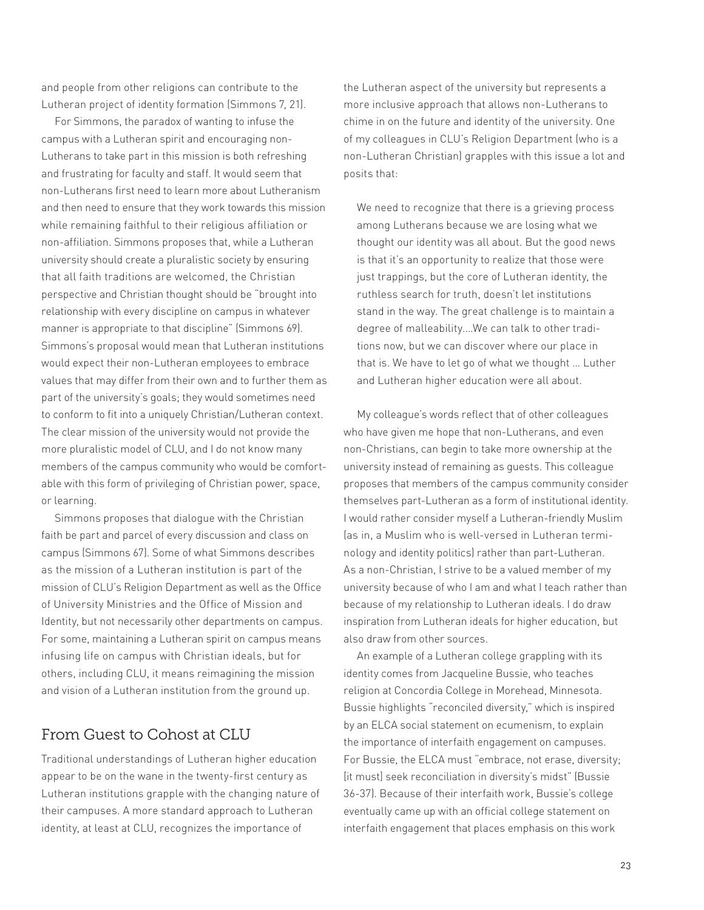and people from other religions can contribute to the Lutheran project of identity formation (Simmons 7, 21).

For Simmons, the paradox of wanting to infuse the campus with a Lutheran spirit and encouraging non-Lutherans to take part in this mission is both refreshing and frustrating for faculty and staff. It would seem that non-Lutherans first need to learn more about Lutheranism and then need to ensure that they work towards this mission while remaining faithful to their religious affiliation or non-affiliation. Simmons proposes that, while a Lutheran university should create a pluralistic society by ensuring that all faith traditions are welcomed, the Christian perspective and Christian thought should be "brought into relationship with every discipline on campus in whatever manner is appropriate to that discipline" (Simmons 69). Simmons's proposal would mean that Lutheran institutions would expect their non-Lutheran employees to embrace values that may differ from their own and to further them as part of the university's goals; they would sometimes need to conform to fit into a uniquely Christian/Lutheran context. The clear mission of the university would not provide the more pluralistic model of CLU, and I do not know many members of the campus community who would be comfortable with this form of privileging of Christian power, space, or learning.

Simmons proposes that dialogue with the Christian faith be part and parcel of every discussion and class on campus (Simmons 67). Some of what Simmons describes as the mission of a Lutheran institution is part of the mission of CLU's Religion Department as well as the Office of University Ministries and the Office of Mission and Identity, but not necessarily other departments on campus. For some, maintaining a Lutheran spirit on campus means infusing life on campus with Christian ideals, but for others, including CLU, it means reimagining the mission and vision of a Lutheran institution from the ground up.

## From Guest to Cohost at CLU

Traditional understandings of Lutheran higher education appear to be on the wane in the twenty-first century as Lutheran institutions grapple with the changing nature of their campuses. A more standard approach to Lutheran identity, at least at CLU, recognizes the importance of

the Lutheran aspect of the university but represents a more inclusive approach that allows non-Lutherans to chime in on the future and identity of the university. One of my colleagues in CLU's Religion Department (who is a non-Lutheran Christian) grapples with this issue a lot and posits that:

We need to recognize that there is a grieving process among Lutherans because we are losing what we thought our identity was all about. But the good news is that it's an opportunity to realize that those were just trappings, but the core of Lutheran identity, the ruthless search for truth, doesn't let institutions stand in the way. The great challenge is to maintain a degree of malleability.…We can talk to other traditions now, but we can discover where our place in that is. We have to let go of what we thought … Luther and Lutheran higher education were all about.

My colleague's words reflect that of other colleagues who have given me hope that non-Lutherans, and even non-Christians, can begin to take more ownership at the university instead of remaining as guests. This colleague proposes that members of the campus community consider themselves part-Lutheran as a form of institutional identity. I would rather consider myself a Lutheran-friendly Muslim (as in, a Muslim who is well-versed in Lutheran terminology and identity politics) rather than part-Lutheran. As a non-Christian, I strive to be a valued member of my university because of who I am and what I teach rather than because of my relationship to Lutheran ideals. I do draw inspiration from Lutheran ideals for higher education, but also draw from other sources.

An example of a Lutheran college grappling with its identity comes from Jacqueline Bussie, who teaches religion at Concordia College in Morehead, Minnesota. Bussie highlights "reconciled diversity," which is inspired by an ELCA social statement on ecumenism, to explain the importance of interfaith engagement on campuses. For Bussie, the ELCA must "embrace, not erase, diversity; [it must] seek reconciliation in diversity's midst" (Bussie 36-37). Because of their interfaith work, Bussie's college eventually came up with an official college statement on interfaith engagement that places emphasis on this work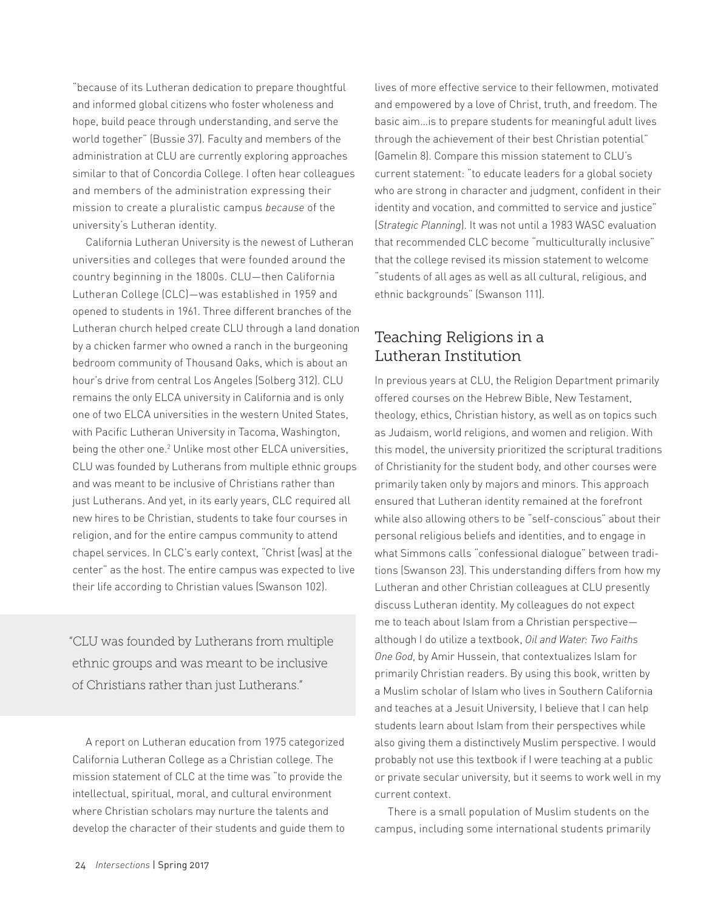"because of its Lutheran dedication to prepare thoughtful and informed global citizens who foster wholeness and hope, build peace through understanding, and serve the world together" (Bussie 37). Faculty and members of the administration at CLU are currently exploring approaches similar to that of Concordia College. I often hear colleagues and members of the administration expressing their mission to create a pluralistic campus *because* of the university's Lutheran identity.

California Lutheran University is the newest of Lutheran universities and colleges that were founded around the country beginning in the 1800s. CLU—then California Lutheran College (CLC)—was established in 1959 and opened to students in 1961. Three different branches of the Lutheran church helped create CLU through a land donation by a chicken farmer who owned a ranch in the burgeoning bedroom community of Thousand Oaks, which is about an hour's drive from central Los Angeles (Solberg 312). CLU remains the only ELCA university in California and is only one of two ELCA universities in the western United States, with Pacific Lutheran University in Tacoma, Washington, being the other one.<sup>2</sup> Unlike most other ELCA universities, CLU was founded by Lutherans from multiple ethnic groups and was meant to be inclusive of Christians rather than just Lutherans. And yet, in its early years, CLC required all new hires to be Christian, students to take four courses in religion, and for the entire campus community to attend chapel services. In CLC's early context, "Christ [was] at the center" as the host. The entire campus was expected to live their life according to Christian values (Swanson 102).

"CLU was founded by Lutherans from multiple ethnic groups and was meant to be inclusive of Christians rather than just Lutherans."

A report on Lutheran education from 1975 categorized California Lutheran College as a Christian college. The mission statement of CLC at the time was "to provide the intellectual, spiritual, moral, and cultural environment where Christian scholars may nurture the talents and develop the character of their students and guide them to lives of more effective service to their fellowmen, motivated and empowered by a love of Christ, truth, and freedom. The basic aim…is to prepare students for meaningful adult lives through the achievement of their best Christian potential" (Gamelin 8). Compare this mission statement to CLU's current statement: "to educate leaders for a global society who are strong in character and judgment, confident in their identity and vocation, and committed to service and justice" (*Strategic Planning*). It was not until a 1983 WASC evaluation that recommended CLC become "multiculturally inclusive" that the college revised its mission statement to welcome "students of all ages as well as all cultural, religious, and ethnic backgrounds" (Swanson 111).

## Teaching Religions in a Lutheran Institution

In previous years at CLU, the Religion Department primarily offered courses on the Hebrew Bible, New Testament, theology, ethics, Christian history, as well as on topics such as Judaism, world religions, and women and religion. With this model, the university prioritized the scriptural traditions of Christianity for the student body, and other courses were primarily taken only by majors and minors. This approach ensured that Lutheran identity remained at the forefront while also allowing others to be "self-conscious" about their personal religious beliefs and identities, and to engage in what Simmons calls "confessional dialogue" between traditions (Swanson 23). This understanding differs from how my Lutheran and other Christian colleagues at CLU presently discuss Lutheran identity. My colleagues do not expect me to teach about Islam from a Christian perspective although I do utilize a textbook, *Oil and Water: Two Faiths One God*, by Amir Hussein, that contextualizes Islam for primarily Christian readers. By using this book, written by a Muslim scholar of Islam who lives in Southern California and teaches at a Jesuit University, I believe that I can help students learn about Islam from their perspectives while also giving them a distinctively Muslim perspective. I would probably not use this textbook if I were teaching at a public or private secular university, but it seems to work well in my current context.

There is a small population of Muslim students on the campus, including some international students primarily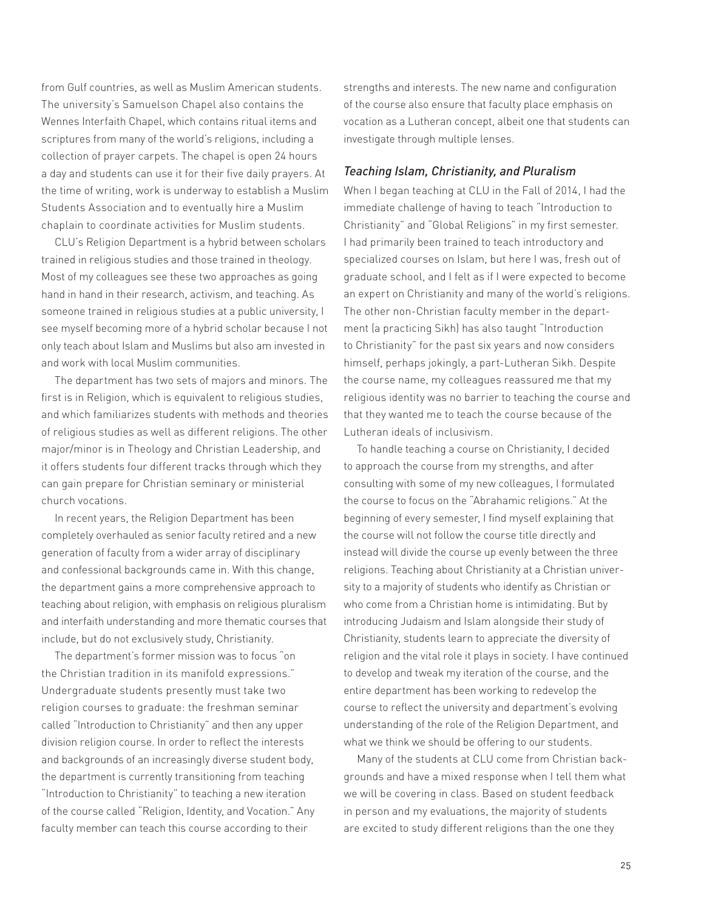from Gulf countries, as well as Muslim American students. The university's Samuelson Chapel also contains the Wennes Interfaith Chapel, which contains ritual items and scriptures from many of the world's religions, including a collection of prayer carpets. The chapel is open 24 hours a day and students can use it for their five daily prayers. At the time of writing, work is underway to establish a Muslim Students Association and to eventually hire a Muslim chaplain to coordinate activities for Muslim students.

CLU's Religion Department is a hybrid between scholars trained in religious studies and those trained in theology. Most of my colleagues see these two approaches as going hand in hand in their research, activism, and teaching. As someone trained in religious studies at a public university, I see myself becoming more of a hybrid scholar because I not only teach about Islam and Muslims but also am invested in and work with local Muslim communities.

The department has two sets of majors and minors. The first is in Religion, which is equivalent to religious studies, and which familiarizes students with methods and theories of religious studies as well as different religions. The other major/minor is in Theology and Christian Leadership, and it offers students four different tracks through which they can gain prepare for Christian seminary or ministerial church vocations.

In recent years, the Religion Department has been completely overhauled as senior faculty retired and a new generation of faculty from a wider array of disciplinary and confessional backgrounds came in. With this change, the department gains a more comprehensive approach to teaching about religion, with emphasis on religious pluralism and interfaith understanding and more thematic courses that include, but do not exclusively study, Christianity.

The department's former mission was to focus "on the Christian tradition in its manifold expressions." Undergraduate students presently must take two religion courses to graduate: the freshman seminar called "Introduction to Christianity" and then any upper division religion course. In order to reflect the interests and backgrounds of an increasingly diverse student body, the department is currently transitioning from teaching "Introduction to Christianity" to teaching a new iteration of the course called "Religion, Identity, and Vocation." Any faculty member can teach this course according to their

strengths and interests. The new name and configuration of the course also ensure that faculty place emphasis on vocation as a Lutheran concept, albeit one that students can investigate through multiple lenses.

#### *Teaching Islam, Christianity, and Pluralism*

When I began teaching at CLU in the Fall of 2014, I had the immediate challenge of having to teach "Introduction to Christianity" and "Global Religions" in my first semester. I had primarily been trained to teach introductory and specialized courses on Islam, but here I was, fresh out of graduate school, and I felt as if I were expected to become an expert on Christianity and many of the world's religions. The other non-Christian faculty member in the department (a practicing Sikh) has also taught "Introduction to Christianity" for the past six years and now considers himself, perhaps jokingly, a part-Lutheran Sikh. Despite the course name, my colleagues reassured me that my religious identity was no barrier to teaching the course and that they wanted me to teach the course because of the Lutheran ideals of inclusivism.

To handle teaching a course on Christianity, I decided to approach the course from my strengths, and after consulting with some of my new colleagues, I formulated the course to focus on the "Abrahamic religions." At the beginning of every semester, I find myself explaining that the course will not follow the course title directly and instead will divide the course up evenly between the three religions. Teaching about Christianity at a Christian university to a majority of students who identify as Christian or who come from a Christian home is intimidating. But by introducing Judaism and Islam alongside their study of Christianity, students learn to appreciate the diversity of religion and the vital role it plays in society. I have continued to develop and tweak my iteration of the course, and the entire department has been working to redevelop the course to reflect the university and department's evolving understanding of the role of the Religion Department, and what we think we should be offering to our students.

Many of the students at CLU come from Christian backgrounds and have a mixed response when I tell them what we will be covering in class. Based on student feedback in person and my evaluations, the majority of students are excited to study different religions than the one they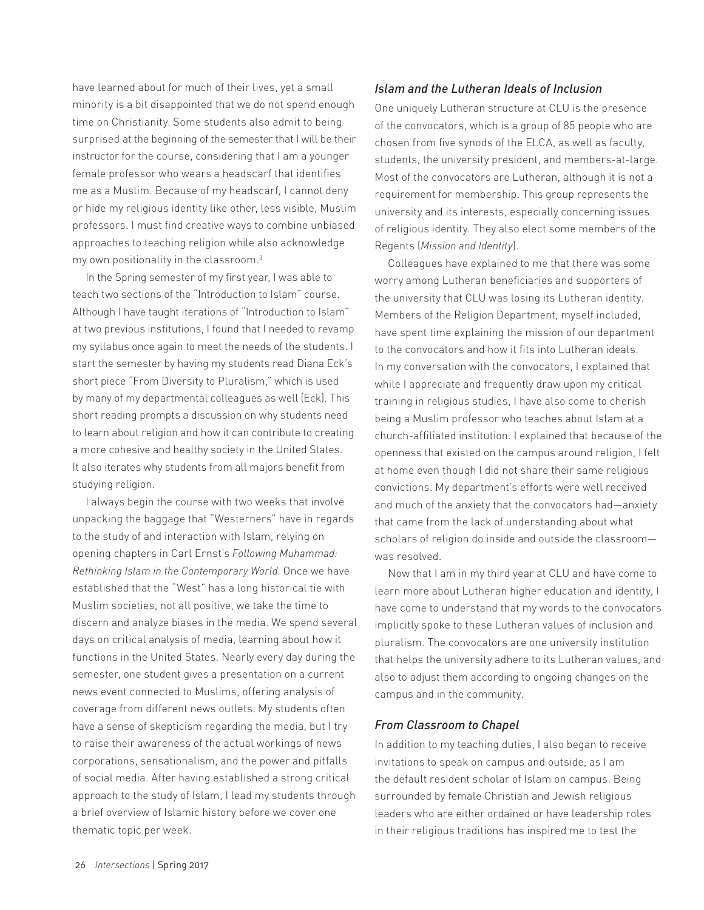have learned about for much of their lives, yet a small minority is a bit disappointed that we do not spend enough time on Christianity. Some students also admit to being surprised at the beginning of the semester that I will be their instructor for the course, considering that I am a younger female professor who wears a headscarf that identifies me as a Muslim. Because of my headscarf, I cannot deny or hide my religious identity like other, less visible, Muslim professors. I must find creative ways to combine unbiased approaches to teaching religion while also acknowledge my own positionality in the classroom.3

In the Spring semester of my first year, I was able to teach two sections of the "Introduction to Islam" course. Although I have taught iterations of "Introduction to Islam" at two previous institutions, I found that I needed to revamp my syllabus once again to meet the needs of the students. I start the semester by having my students read Diana Eck's short piece "From Diversity to Pluralism," which is used by many of my departmental colleagues as well (Eck). This short reading prompts a discussion on why students need to learn about religion and how it can contribute to creating a more cohesive and healthy society in the United States. It also iterates why students from all majors benefit from studying religion.

I always begin the course with two weeks that involve unpacking the baggage that "Westerners" have in regards to the study of and interaction with Islam, relying on opening chapters in Carl Ernst's *Following Muhammad: Rethinking Islam in the Contemporary World*. Once we have established that the "West" has a long historical tie with Muslim societies, not all positive, we take the time to discern and analyze biases in the media. We spend several days on critical analysis of media, learning about how it functions in the United States. Nearly every day during the semester, one student gives a presentation on a current news event connected to Muslims, offering analysis of coverage from different news outlets. My students often have a sense of skepticism regarding the media, but I try to raise their awareness of the actual workings of news corporations, sensationalism, and the power and pitfalls of social media. After having established a strong critical approach to the study of Islam, I lead my students through a brief overview of Islamic history before we cover one thematic topic per week.

#### *Islam and the Lutheran Ideals of Inclusion*

One uniquely Lutheran structure at CLU is the presence of the convocators, which is a group of 85 people who are chosen from five synods of the ELCA, as well as faculty, students, the university president, and members-at-large. Most of the convocators are Lutheran, although it is not a requirement for membership. This group represents the university and its interests, especially concerning issues of religious identity. They also elect some members of the Regents (*Mission and Identity*).

Colleagues have explained to me that there was some worry among Lutheran beneficiaries and supporters of the university that CLU was losing its Lutheran identity. Members of the Religion Department, myself included, have spent time explaining the mission of our department to the convocators and how it fits into Lutheran ideals. In my conversation with the convocators, I explained that while I appreciate and frequently draw upon my critical training in religious studies, I have also come to cherish being a Muslim professor who teaches about Islam at a church-affiliated institution. I explained that because of the openness that existed on the campus around religion, I felt at home even though I did not share their same religious convictions. My department's efforts were well received and much of the anxiety that the convocators had—anxiety that came from the lack of understanding about what scholars of religion do inside and outside the classroom was resolved.

Now that I am in my third year at CLU and have come to learn more about Lutheran higher education and identity, I have come to understand that my words to the convocators implicitly spoke to these Lutheran values of inclusion and pluralism. The convocators are one university institution that helps the university adhere to its Lutheran values, and also to adjust them according to ongoing changes on the campus and in the community.

#### *From Classroom to Chapel*

In addition to my teaching duties, I also began to receive invitations to speak on campus and outside, as I am the default resident scholar of Islam on campus. Being surrounded by female Christian and Jewish religious leaders who are either ordained or have leadership roles in their religious traditions has inspired me to test the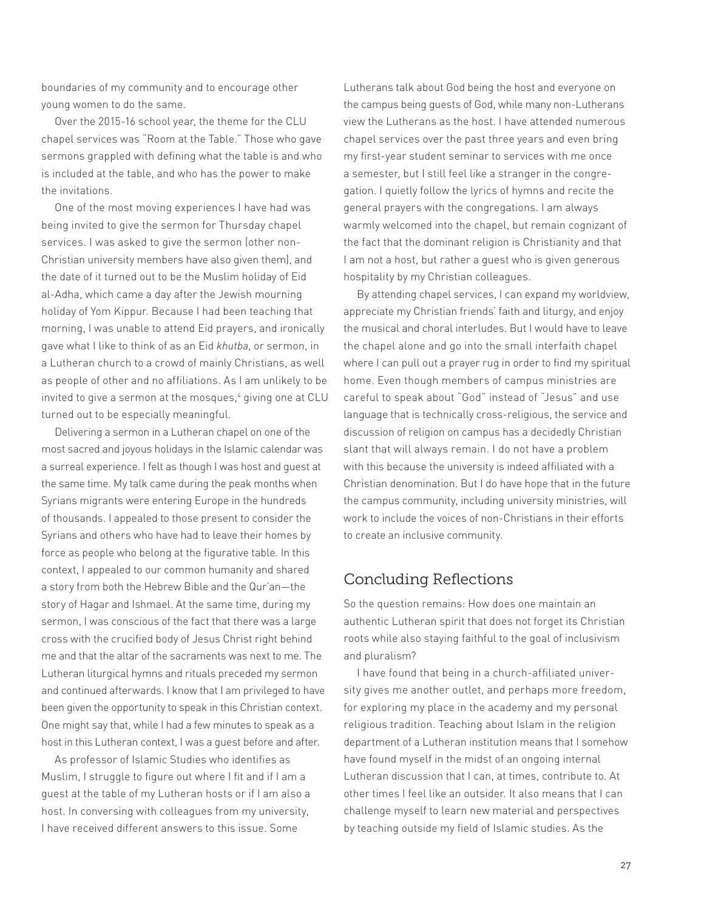boundaries of my community and to encourage other young women to do the same.

Over the 2015-16 school year, the theme for the CLU chapel services was "Room at the Table." Those who gave sermons grappled with defining what the table is and who is included at the table, and who has the power to make the invitations.

One of the most moving experiences I have had was being invited to give the sermon for Thursday chapel services. I was asked to give the sermon (other non-Christian university members have also given them), and the date of it turned out to be the Muslim holiday of Eid al-Adha, which came a day after the Jewish mourning holiday of Yom Kippur. Because I had been teaching that morning, I was unable to attend Eid prayers, and ironically gave what I like to think of as an Eid *khutba*, or sermon, in a Lutheran church to a crowd of mainly Christians, as well as people of other and no affiliations. As I am unlikely to be invited to give a sermon at the mosques,4 giving one at CLU turned out to be especially meaningful.

Delivering a sermon in a Lutheran chapel on one of the most sacred and joyous holidays in the Islamic calendar was a surreal experience. I felt as though I was host and guest at the same time. My talk came during the peak months when Syrians migrants were entering Europe in the hundreds of thousands. I appealed to those present to consider the Syrians and others who have had to leave their homes by force as people who belong at the figurative table. In this context, I appealed to our common humanity and shared a story from both the Hebrew Bible and the Qur'an—the story of Hagar and Ishmael. At the same time, during my sermon, I was conscious of the fact that there was a large cross with the crucified body of Jesus Christ right behind me and that the altar of the sacraments was next to me. The Lutheran liturgical hymns and rituals preceded my sermon and continued afterwards. I know that I am privileged to have been given the opportunity to speak in this Christian context. One might say that, while I had a few minutes to speak as a host in this Lutheran context, I was a guest before and after.

As professor of Islamic Studies who identifies as Muslim, I struggle to figure out where I fit and if I am a guest at the table of my Lutheran hosts or if I am also a host. In conversing with colleagues from my university, I have received different answers to this issue. Some

Lutherans talk about God being the host and everyone on the campus being guests of God, while many non-Lutherans view the Lutherans as the host. I have attended numerous chapel services over the past three years and even bring my first-year student seminar to services with me once a semester, but I still feel like a stranger in the congregation. I quietly follow the lyrics of hymns and recite the general prayers with the congregations. I am always warmly welcomed into the chapel, but remain cognizant of the fact that the dominant religion is Christianity and that I am not a host, but rather a guest who is given generous hospitality by my Christian colleagues.

By attending chapel services, I can expand my worldview, appreciate my Christian friends' faith and liturgy, and enjoy the musical and choral interludes. But I would have to leave the chapel alone and go into the small interfaith chapel where I can pull out a prayer rug in order to find my spiritual home. Even though members of campus ministries are careful to speak about "God" instead of "Jesus" and use language that is technically cross-religious, the service and discussion of religion on campus has a decidedly Christian slant that will always remain. I do not have a problem with this because the university is indeed affiliated with a Christian denomination. But I do have hope that in the future the campus community, including university ministries, will work to include the voices of non-Christians in their efforts to create an inclusive community.

## Concluding Reflections

So the question remains: How does one maintain an authentic Lutheran spirit that does not forget its Christian roots while also staying faithful to the goal of inclusivism and pluralism?

I have found that being in a church-affiliated university gives me another outlet, and perhaps more freedom, for exploring my place in the academy and my personal religious tradition. Teaching about Islam in the religion department of a Lutheran institution means that I somehow have found myself in the midst of an ongoing internal Lutheran discussion that I can, at times, contribute to. At other times I feel like an outsider. It also means that I can challenge myself to learn new material and perspectives by teaching outside my field of Islamic studies. As the